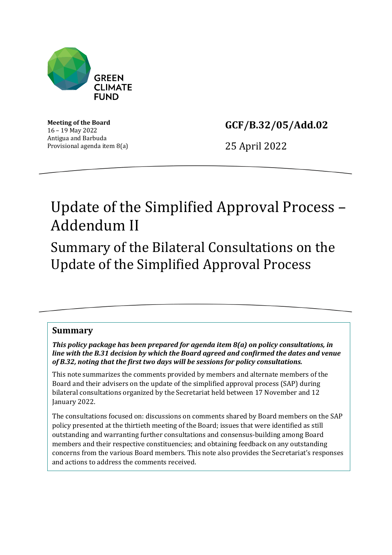

**Meeting of the Board** 16 – 19 May 2022 Antigua and Barbuda Provisional agenda item 8(a) **GCF/B.32/05/Add.02**

25 April 2022

# Update of the Simplified Approval Process – Addendum II

Summary of the Bilateral Consultations on the Update of the Simplified Approval Process

# **Summary**

*This policy package has been prepared for agenda item 8(a) on policy consultations, in line with the B.31 decision by which the Board agreed and confirmed the dates and venue of B.32, noting that the first two days will be sessions for policy consultations.*

This note summarizes the comments provided by members and alternate members of the Board and their advisers on the update of the simplified approval process (SAP) during bilateral consultations organized by the Secretariat held between 17 November and 12 January 2022.

The consultations focused on: discussions on comments shared by Board members on the SAP policy presented at the thirtieth meeting of the Board; issues that were identified as still outstanding and warranting further consultations and consensus-building among Board members and their respective constituencies; and obtaining feedback on any outstanding concerns from the various Board members. This note also provides the Secretariat's responses and actions to address the comments received.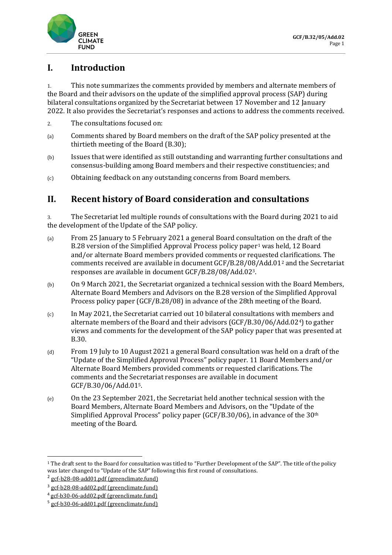

# **I. Introduction**

1. This note summarizes the comments provided by members and alternate members of the Board and their advisors on the update of the simplified approval process (SAP) during bilateral consultations organized by the Secretariat between 17 November and 12 January 2022. It also provides the Secretariat's responses and actions to address the comments received.

- 2. The consultations focused on:
- (a) Comments shared by Board members on the draft of the SAP policy presented at the thirtieth meeting of the Board (B.30);
- (b) Issues that were identified as still outstanding and warranting further consultations and consensus-building among Board members and their respective constituencies; and
- (c) Obtaining feedback on any outstanding concerns from Board members.

# **II. Recent history of Board consideration and consultations**

3. The Secretariat led multiple rounds of consultations with the Board during 2021 to aid the development of the Update of the SAP policy.

- (a) From 25 January to 5 February 2021 a general Board consultation on the draft of the B.28 version of the Simplified Approval Process policy paper<sup>[1](#page-1-0)</sup> was held, 12 Board and/or alternate Board members provided comments or requested clarifications. The comments received are available in document GCF/B.28/08/Add.01[2](#page-1-1) and the Secretariat responses are available in document GCF/B.28/08/Add.02[3.](#page-1-2)
- (b) On 9 March 2021, the Secretariat organized a technical session with the Board Members, Alternate Board Members and Advisors on the B.28 version of the Simplified Approval Process policy paper (GCF/B.28/08) in advance of the 28th meeting of the Board.
- (c) In May 2021, the Secretariat carried out 10 bilateral consultations with members and alternate members of the Board and their advisors (GCF/B.30/06/Add.02[4\)](#page-1-3) to gather views and comments for the development of the SAP policy paper that was presented at B.30.
- (d) From 19 July to 10 August 2021 a general Board consultation was held on a draft of the "Update of the Simplified Approval Process" policy paper. 11 Board Members and/or Alternate Board Members provided comments or requested clarifications. The comments and the Secretariat responses are available in document GCF/B.30/06/Add.01[5](#page-1-4).
- (e) On the 23 September 2021, the Secretariat held another technical session with the Board Members, Alternate Board Members and Advisors, on the "Update of the Simplified Approval Process" policy paper (GCF/B.30/06), in advance of the 30th meeting of the Board.

<span id="page-1-0"></span><sup>&</sup>lt;sup>1</sup> The draft sent to the Board for consultation was titled to "Further Development of the SAP". The title of the policy was later changed to "Update of the SAP" following this first round of consultations.<br>
<sup>2</sup> [gcf-b28-08-add01.pdf \(greenclimate.fund\)](https://www.greenclimate.fund/sites/default/files/document/gcf-b28-08-add01.pdf)<br>
<sup>3</sup> gcf-b28-08-add02.pdf (greenclimate.fund)

<span id="page-1-1"></span>

<span id="page-1-2"></span>

<span id="page-1-3"></span> $4 \text{ gcf-b30-06-add02.pdf}$  (greenclimate.fund)<br> $5 \text{ gcf-b30-06-add01.pdf}$  (greenclimate.fund)

<span id="page-1-4"></span>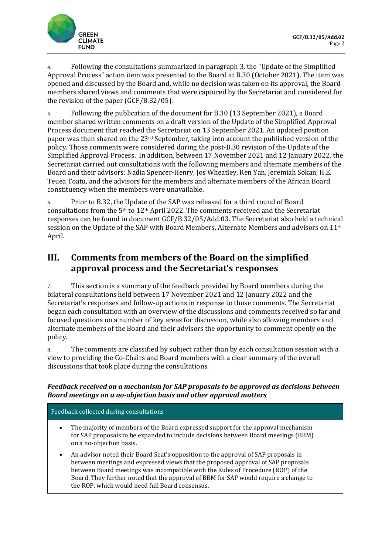

4. Following the consultations summarized in paragraph 3, the "Update of the Simplified Approval Process" action item was presented to the Board at B.30 (October 2021). The item was opened and discussed by the Board and, while no decision was taken on its approval, the Board members shared views and comments that were captured by the Secretariat and considered for the revision of the paper (GCF/B.32/05).

5. Following the publication of the document for B.30 (13 September 2021), a Board member shared written comments on a draft version of the Update of the Simplified Approval Process document that reached the Secretariat on 13 September 2021. An updated position paper was then shared on the 23rd September, taking into account the published version of the policy. Those comments were considered during the post-B.30 revision of the Update of the Simplified Approval Process. In addition, between 17 November 2021 and 12 January 2022, the Secretariat carried out consultations with the following members and alternate members of the Board and their advisors: Nadia Spencer-Henry, Jos Wheatley, Ren Yan, Jeremiah Sokan, H.E. Teuea Toatu, and the advisors for the members and alternate members of the African Board constituency when the members were unavailable.

6. Prior to B.32, the Update of the SAP was released for a third round of Board consultations from the  $5<sup>th</sup>$  to  $12<sup>th</sup>$  April 2022. The comments received and the Secretariat responses can be found in document GCF/B.32/05/Add.03. The Secretariat also held a technical session on the Update of the SAP with Board Members, Alternate Members and advisors on 11th April.

# **III. Comments from members of the Board on the simplified approval process and the Secretariat's responses**

7. This section is a summary of the feedback provided by Board members during the bilateral consultations held between 17 November 2021 and 12 January 2022 and the Secretariat's responses and follow-up actions in response to those comments. The Secretariat began each consultation with an overview of the discussions and comments received so far and focused questions on a number of key areas for discussion, while also allowing members and alternate members of the Board and their advisors the opportunity to comment openly on the policy.

8. The comments are classified by subject rather than by each consultation session with a view to providing the Co-Chairs and Board members with a clear summary of the overall discussions that took place during the consultations.

# *Feedback received on a mechanism for SAP proposals to be approved as decisions between Board meetings on a no-objection basis and other approval matters*

## Feedback collected during consultations

- The majority of members of the Board expressed support for the approval mechanism for SAP proposals to be expanded to include decisions between Board meetings (BBM) on a no-objection basis.
- An advisor noted their Board Seat's opposition to the approval of SAP proposals in between meetings and expressed views that the proposed approval of SAP proposals between Board meetings was incompatible with the Rules of Procedure (ROP) of the Board. They further noted that the approval of BBM for SAP would require a change to the ROP, which would need full Board consensus.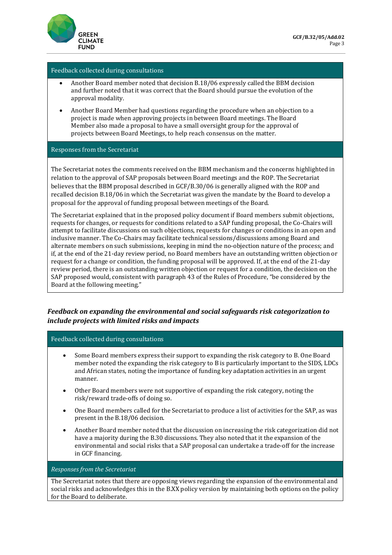

#### Feedback collected during consultations

- Another Board member noted that decision B.18/06 expressly called the BBM decision and further noted that it was correct that the Board should pursue the evolution of the approval modality.
- Another Board Member had questions regarding the procedure when an objection to a project is made when approving projects in between Board meetings. The Board Member also made a proposal to have a small oversight group for the approval of projects between Board Meetings, to help reach consensus on the matter.

#### Responses from the Secretariat

The Secretariat notes the comments received on the BBM mechanism and the concerns highlighted in relation to the approval of SAP proposals between Board meetings and the ROP. The Secretariat believes that the BBM proposal described in GCF/B.30/06 is generally aligned with the ROP and recalled decision B.18/06 in which the Secretariat was given the mandate by the Board to develop a proposal for the approval of funding proposal between meetings of the Board.

The Secretariat explained that in the proposed policy document if Board members submit objections, requests for changes, or requests for conditions related to a SAP funding proposal, the Co-Chairs will attempt to facilitate discussions on such objections, requests for changes or conditions in an open and inclusive manner. The Co-Chairs may facilitate technical sessions/discussions among Board and alternate members on such submissions, keeping in mind the no-objection nature of the process; and if, at the end of the 21-day review period, no Board members have an outstanding written objection or request for a change or condition, the funding proposal will be approved. If, at the end of the 21-day review period, there is an outstanding written objection or request for a condition, the decision on the SAP proposed would, consistent with paragraph 43 of the Rules of Procedure, "be considered by the Board at the following meeting."

## *Feedback on expanding the environmental and social safeguards risk categorization to include projects with limited risks and impacts*

Feedback collected during consultations

- Some Board members express their support to expanding the risk category to B. One Board member noted the expanding the risk category to B is particularly important to the SIDS, LDCs and African states, noting the importance of funding key adaptation activities in an urgent manner.
- Other Board members were not supportive of expanding the risk category, noting the risk/reward trade-offs of doing so.
- One Board members called for the Secretariat to produce a list of activities for the SAP, as was present in the B.18/06 decision.
- Another Board member noted that the discussion on increasing the risk categorization did not have a majority during the B.30 discussions. They also noted that it the expansion of the environmental and social risks that a SAP proposal can undertake a trade-off for the increase in GCF financing.

*Responses from the Secretariat* 

The Secretariat notes that there are opposing views regarding the expansion of the environmental and social risks and acknowledges this in the B.XX policy version by maintaining both options on the policy for the Board to deliberate.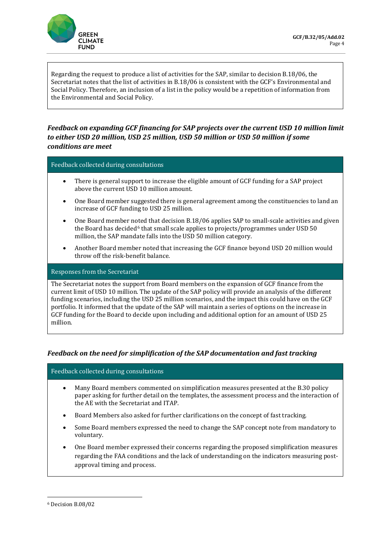

Regarding the request to produce a list of activities for the SAP, similar to decision B.18/06, the Secretariat notes that the list of activities in B.18/06 is consistent with the GCF's Environmental and Social Policy. Therefore, an inclusion of a list in the policy would be a repetition of information from the Environmental and Social Policy.

# *Feedback on expanding GCF financing for SAP projects over the current USD 10 million limit to either USD 20 million, USD 25 million, USD 50 million or USD 50 million if some conditions are meet*

Feedback collected during consultations

- There is general support to increase the eligible amount of GCF funding for a SAP project above the current USD 10 million amount.
- One Board member suggested there is general agreement among the constituencies to land an increase of GCF funding to USD 25 million.
- One Board member noted that decision B.18/06 applies SAP to small-scale activities and given the Board has decided<sup>[6](#page-4-0)</sup> that small scale applies to projects/programmes under USD 50 million, the SAP mandate falls into the USD 50 million category.
- Another Board member noted that increasing the GCF finance beyond USD 20 million would throw off the risk-benefit balance.

#### Responses from the Secretariat

The Secretariat notes the support from Board members on the expansion of GCF finance from the current limit of USD 10 million. The update of the SAP policy will provide an analysis of the different funding scenarios, including the USD 25 million scenarios, and the impact this could have on the GCF portfolio. It informed that the update of the SAP will maintain a series of options on the increase in GCF funding for the Board to decide upon including and additional option for an amount of USD 25 million.

## *Feedback on the need for simplification of the SAP documentation and fast tracking*

Feedback collected during consultations

- Many Board members commented on simplification measures presented at the B.30 policy paper asking for further detail on the templates, the assessment process and the interaction of the AE with the Secretariat and ITAP.
- Board Members also asked for further clarifications on the concept of fast tracking.
- Some Board members expressed the need to change the SAP concept note from mandatory to voluntary.
- One Board member expressed their concerns regarding the proposed simplification measures regarding the FAA conditions and the lack of understanding on the indicators measuring postapproval timing and process.

<span id="page-4-0"></span><sup>6</sup> Decision B.08/02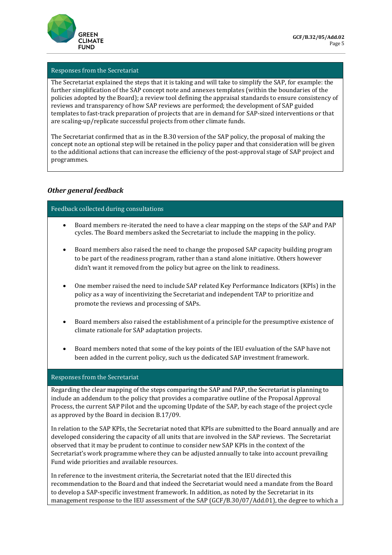

### Responses from the Secretariat

The Secretariat explained the steps that it is taking and will take to simplify the SAP, for example: the further simplification of the SAP concept note and annexes templates (within the boundaries of the policies adopted by the Board); a review tool defining the appraisal standards to ensure consistency of reviews and transparency of how SAP reviews are performed; the development of SAP guided templates to fast-track preparation of projects that are in demand for SAP-sized interventions or that are scaling-up/replicate successful projects from other climate funds.

The Secretariat confirmed that as in the B.30 version of the SAP policy, the proposal of making the concept note an optional step will be retained in the policy paper and that consideration will be given to the additional actions that can increase the efficiency of the post-approval stage of SAP project and programmes.

## *Other general feedback*

#### Feedback collected during consultations

- Board members re-iterated the need to have a clear mapping on the steps of the SAP and PAP cycles. The Board members asked the Secretariat to include the mapping in the policy.
- Board members also raised the need to change the proposed SAP capacity building program to be part of the readiness program, rather than a stand alone initiative. Others however didn't want it removed from the policy but agree on the link to readiness.
- One member raised the need to include SAP related Key Performance Indicators (KPIs) in the policy as a way of incentivizing the Secretariat and independent TAP to prioritize and promote the reviews and processing of SAPs.
- Board members also raised the establishment of a principle for the presumptive existence of climate rationale for SAP adaptation projects.
- Board members noted that some of the key points of the IEU evaluation of the SAP have not been added in the current policy, such us the dedicated SAP investment framework.

#### Responses from the Secretariat

Regarding the clear mapping of the steps comparing the SAP and PAP, the Secretariat is planning to include an addendum to the policy that provides a comparative outline of the Proposal Approval Process, the current SAP Pilot and the upcoming Update of the SAP, by each stage of the project cycle as approved by the Board in decision B.17/09.

In relation to the SAP KPIs, the Secretariat noted that KPIs are submitted to the Board annually and are developed considering the capacity of all units that are involved in the SAP reviews. The Secretariat observed that it may be prudent to continue to consider new SAP KPIs in the context of the Secretariat's work programme where they can be adjusted annually to take into account prevailing Fund wide priorities and available resources.

In reference to the investment criteria, the Secretariat noted that the IEU directed this recommendation to the Board and that indeed the Secretariat would need a mandate from the Board to develop a SAP-specific investment framework. In addition, as noted by the Secretariat in its management response to the IEU assessment of the SAP (GCF/B.30/07/Add.01), the degree to which a